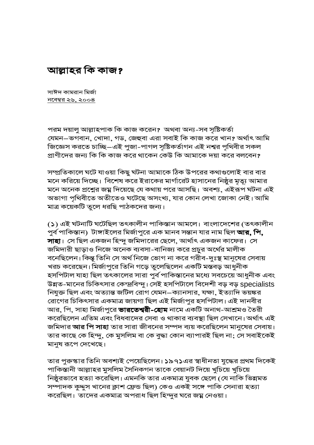আল্লাহর কি কাজ?

সাঈদ কামরান মির্জা <u>নবেম্বর ২৬, ২০০৪</u>

পরম দয়ালু আল্লাহপাক কি কাজ করেন? অথবা অন্য-সব সৃষ্টিকর্তা যেমন–ভগবান, খোদা, গড, জেহুবা এরা সবাই কি কাজ করে খান? অর্থাৎ আমি জিজ্ঞেস করতে চাচ্ছি–এই পুজা-পাগল সৃষ্টিকর্তাগন এই নশ্বর পৃথিবীর সকল প্রাণীদের জন্য কি কি কাজ করে থাকেন কেউ কি আমাকে দয়া করে বলবেন?

সম্প্রতিকালে ঘটে যাওয়া কিছু ঘটনা আমাকে ঠিক উপরের কথাগুলোই বার বার মনে করিয়ে দিচ্ছে। বিশেষ করে ইরাকের মার্গারেট হাসানের নিষ্ঠুর মৃত্যূ আমার মনে অনেক প্রশ্নের জম্ন দিয়েছে যে কথায় পরে আসছি। অবশ্য, এইরূপ ঘটনা এই অভাগা পৃথিবীতে অতীতেও ঘটেছে অসংখ্য, যার কোন লেখা জোকা নেই। আমি মাত্র কয়েকটি তুলে ধরছি পাঠকদের জন্য।

(১) এই ঘটনাটি ঘটেছিল তৎকালীন পাকিস্তান আমলে। বাংলাদেশের (তৎকালীন পুর্ব পাকিস্তান) টাঙ্গাইলের মির্জাপুরে এক মানব সন্তান যার নাম ছিল আর, পি, সাহা। সে ছিল একজন হিন্দু জমিদারের ছেলে, আর্থাৎ একজন কাফের। সে জমিদারী ছাড়াও নিজে অনেক ব্যবসা-বানিজ্য করে প্রচুর অর্থের মালীক বনেছিলেন। কিন্তু তিনি সে অর্থ নিজে ভোগ না করে গরীব-দুঃস্থ মানুষের সেবায় খরচ করেছেন। মির্জাপুরে তিনি গড়ে তুলেছিলেন একটি মস্তবড় আধুনীক হসপিটাল যাহা ছিল তৎকালের সারা পুর্ব পাকিস্তানের মধ্যে সবচেয়ে আধুনীক এবং উন্নত-মানের চিকিৎসার কেন্দ্রবিন্দু। সেই হসপিটালে বিদেশী বড় বড় specialists নিযুক্ত ছিল এবং অত্যান্ত জটিল রোগ যেমন–ক্যানসার, যক্ষা, ইত্যাদি ভয়ঙ্কর রোগের চিকিৎসার একমাত্র জায়গা ছিল এই মির্জাপুর হসপিটাল। এই দানবীর আর, পি, সাহা মির্জাপুরে **ভারতেশ্বরী-হোম** নামে একটি অনাথ-আশ্রমও তৈরী করেছিলেন এতিম এবং বিধবাদের সেবা ও থাকার ব্যবস্থা ছিল সেখানে। অর্থাৎ এই জমিদার আর পি সাহা তার সারা জীবনের সম্পদ ব্যয় করেছিলেন মানুষের সেবায়। তার কাছে কে হিন্দু, কে মুসলিম বা কে বুদ্ধা কোন ব্যাপারই ছিল না; সে সবাইকেই মানুষ রূপে দেখেছে।

তার পুরুস্কার তিনি অবশ্যই পেয়েছিলেন। ১৯৭১এর স্বাধীনতা যুদ্ধের প্রথম দিকেই পাকিস্তানী আল্লাহর মুসলিম সৈনিকগন তাকে বেয়ানট দিয়ে খুচিয়ে খুচিয়ে নিষ্ঠুরভাবে হত্যা করেছিল। এমনকি তার একমাত্র যুবক ছেলে (যে নাকি ভিন্নমত সম্পাদক কুদ্দুস খানের ক্লাশ ফ্রেন্ড ছিল) কেও একই সঙ্গে পাকি সেনারা হত্যা করেছিল। তাদের একমাত্র অপরাধ ছিল হিন্দুর ঘরে জম্ন নেওয়া।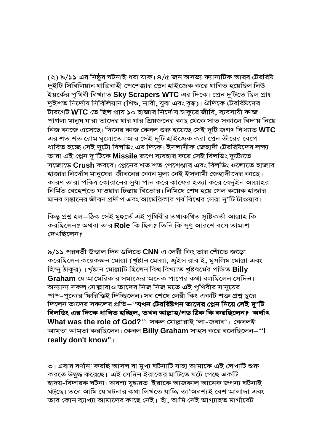(২) ৯/১১ এর নিষ্ঠুর ঘটনাই ধরা যাক। ৪/৫ জন অসভ্য ফ্যানাটিক আরব টেররিষ্ট দুইটি সিবিলিয়ান যাত্রিবাহী পেশেঞ্জার প্লেন হাইজেক করে ধাবিত হয়েছিল নিউ ইয়র্কের পৃথিবী বিখ্যাত Sky Scrapers WTC এর দিকে। প্লেন দুটিতে ছিল প্রায় দুইশত নির্দোষ সিবিলিয়ান (শিশু, নারী, যুবা এবং বৃদ্ধ)। ঔদিকে টেররিষ্টদের টারগেট **WTC** তে ছিল প্রায় ১০ হাজার নির্দোষ চাকুরে জীবি, ব্যবসায়ী কাজ পাগলা মানুষ যারা তাদের যার যার প্রিয়জনের কাছ থেকে সাত সকালে বিদায় নিয়ে নিজ কাজে এসেছে। দিনের কাজ কেবল শুরু হয়েছে সেই দুটি জগৎ বিখ্যাত WTC এর শত শত রোম ঘুলোতে। আর সেই দূটি হাইজেক করা প্লেন তীরের বেগে ধাবিত হচ্ছে সেই দুটো বিলডিং এর দিকে। ইসলামীক জেহাদী টেররিষ্টদের লক্ষ্য তারা এই প্লেন দু'টিকে Missile রূপে ব্যবহার করে সেই বিলডিং দুটোতে সজোডে Crush করবে। প্লেনের শত শত পেশেঞ্জার এবং বিলডিং গুলোতে হাজার হাজার নির্দোষ মানুষের জীবনের কোন মুল্য নেই ইসলামী জেহাদীদের কাছে। কারণ তারা পবিত্র কোরানের সুধা পান করে কাফের হত্যা করে বেদুইন আল্লাহর নির্মিত বেহেশতে যাওয়ার চিন্তায় বিভোর। নিমিষে শেষ হয়ে গেল কয়েক হাজার মানব সন্তানের জীবন প্রদীপ এবং আমেরিকার গর্ব বিশ্বের সেরা দু'টি টাওয়ার।

কিন্তু প্ৰশ্ন হল–ঠিক সেই মুহুৰ্তে এই পৃথিবীর তথাকথিত সৃষ্টিকৰ্তা আল্লাহ কি করছিলেন? অথবা তার Role কি ছিল? তিনি কি সুধু আরশে বসে তামাশা দেখছিলেন?

৯/১১ পরবর্তী উত্তাল দিন গুলিতে CNN এ লেরী কিং তার শোঁতে জড়ো করেছিলেন কয়েকজন মোল্লা (খৃষ্টান মোল্লা, জুইস রাবাই, মুসলিম মোল্লা এবং হিন্দু ঠাকুর)। খৃষ্টান মোল্লাটি ছিলেন বিশ্ব বিখ্যাত খৃষ্টধর্মের পন্ডিত Billy Graham যে আমেরিকার সমাজের অনেক পাপের কথা বলছিলেন সেদিন। অন্যান্য সকল মোল্লারাও তাদের নিজ নিজ মতে এই পৃথিবীর মানুষের পাপ-পুন্যের ফিরিস্তিই দিচ্ছিলেন। সব শেষে লেরী কিং একটি শক্ত প্রশ্ন ছুরে দিলেন তাদের সকলের প্রতি–'**'যখন টেররিষ্টগন তাদের প্লেন নিয়ে সেই দু'টি** বিলডিং এর দিকে ধাবিত হচ্ছিল, তখন আল্লাহ/গড ঠিক কি করছিলেন? অর্থাৎ What was the role of God?" সকল মোল্লারাই 'লা-জবাব'। কেবলই আম্তা আম্তা করছিলেন। কেবল Billy Graham সাহস করে বলেছিলেন–''l really don't know" |

৩। এবার বর্ণানা করছি আসল বা মুখ্য ঘটনাটি যাহা আমাকে এই লেখাটি শুরু করতে উদ্বদ্ধ করেছে। এই সেদিন ইরাকের মাটিতে ঘটে গেছে একটি হ্বদয়-বিদারক ঘটনা। অবশ্য যুদ্ধরত ইরাকে আজকাল আনেক জগন্য ঘটনাই ঘটছে। তবে আমি যে ঘটনার কথা লিখতে যাচ্ছি তা'অবশ্যই বেশ আলাদা এবং তার কোন ব্যাখ্যা আমাদের কাছে নেই। হাঁ, আমি সেই ভাগ্যাহত মার্গারেট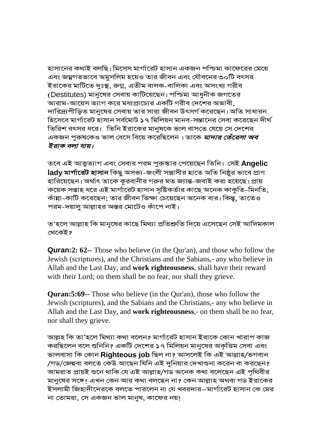হাসানের কথাই বলছি। মিসেস মার্গারেট হাসান একজন পশ্চিমা কাফেরের মেয়ে এবং জয়ুগতভাবে অমুসলিম হয়েও তার জীবন এবং যৌবনের ৩০টি বৎসর ইরাকের মাটিতে দুঃস্থ, রুগ্ন, এতীম বালক-বালিকা এবং অসংখ্য গরীব (Destitutes) মানুষের সেবায় কাটিয়েছেন। পশ্চিমা আধুনীক জগতের আরাম-আয়েস ত্যাগ করে মধ্যপ্রাচ্যের একটি গরীব দেশের অভাবী দারিদ্র্যপীড়িত মানুষের সেবায় তার সারা জীবন উৎসর্গ করেছেন। অতি সাধারন হিসেবে মার্গারেট হাসান সর্বমোট ১৭ মিলিয়ন মানব-সন্তানের সেবা করেছেন দীর্ঘ তিরিশ বৎসর ধরে। তিনি ইরাকের মানযকে ভাল বাসতে যেয়ে সে দেশের একজন পরুষকেও ভাল বেসে বিয়ে করেছিলেন। তাকে *মাদার তেঁরেসা অব* ইরাক বলা যায়।

তবে এই আত্ত্বত্যাগ এবং সেবার পরম পুরুস্কার পেয়েছেন তিনি। সেই Angelic **ladv মার্গারেট হাসান** কিছু অসভ্য-জংলী সন্ত্রাসীর হাতে অতি নিষ্ঠুর ভাবে প্রাণ হারিয়েছেন। অর্থাৎ তাকে কুরবানীর গরুর মত জ্যান্ত-জবাই করা হয়েছে। প্রায় কয়েক সপ্তাহ ধরে এই মার্গারেট হাসান সৃষ্টিকর্তার কাছে অনেক কাকুতি-মিনতি, কাঁয়া-কাটি করেছেন: তার জীবন ভিক্ষা চেয়েছেন অনেক বার। কিন্তু, তাতেও পরম-দয়াল আল্লাহর অন্তর মোটেও কাঁপে নাই।

ত'হলে আল্লাহ কি মানুষের কাছে মিথ্যা প্রতিশ্রুতি দিয়ে এসেছেন সেই আদিমকাল থেকেই?

**Quran:2: 62--** Those who believe (in the Qur'an), and those who follow the Jewish (scriptures), and the Christians and the Sabians,- any who believe in Allah and the Last Day, and work righteousness, shall have their reward with their Lord; on them shall be no fear, nor shall they grieve.

**Quran:5:69--** Those who believe (in the Qur'an), those who follow the Jewish (scriptures), and the Sabians and the Christians,- any who believe in Allah and the Last Day, and work righteousness,- on them shall be no fear, nor shall they grieve.

আল্লহ কি তা'হলে মিথ্যা কথা বলেন? মার্গারেট হাসান ইরাকে কোন খারাপ কাজ করছিলেন বলে শুনিনি? একটি দেশের ১৭ মিলিয়ন মানুষের অকৃত্তিম সেবা এবং ভালবাসা কি কোন Righteous job ছিল না? আসলেই কি এই আল্লাহ/ভগবান /গড/জেহুবা বলতে কেউ আছেন যিনি এই দুনিয়ার দেখাশুনা করেন বা করছেন? আমরাত প্রায়ই শুনে থাকি যে এই আল্লাহ/গড অনেক কথা বলেছেন এই পৃথিবীর মানুষের সঙ্গে। এখন কেন আর কথা বলছেন না? কেন আল্লাহ অথবা গড ইরাকের ইসলামী জিহাদীদেরকে বলতে পারলেন না যে খবরদার–মার্গারেট হাসান কে মের না তোমরা, সে একজন ভাল মান্য, কাফের নয়।